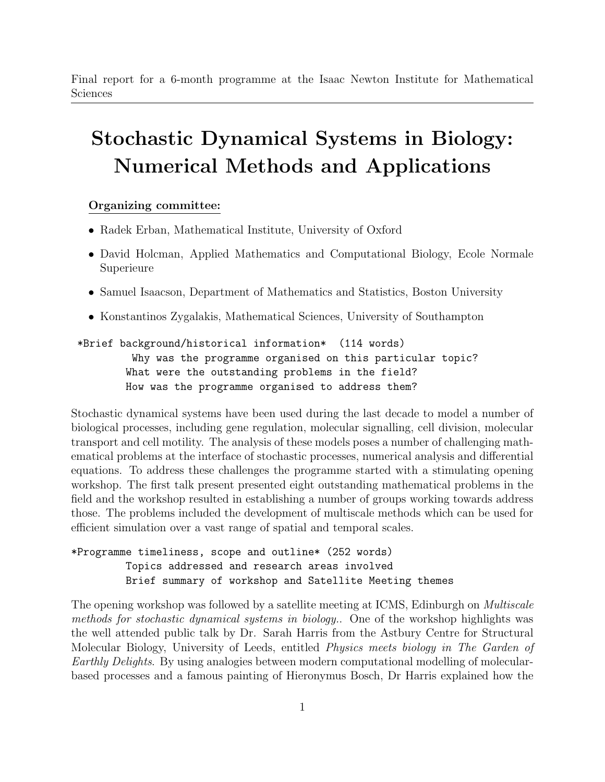Final report for a 6-month programme at the Isaac Newton Institute for Mathematical Sciences

## Stochastic Dynamical Systems in Biology: Numerical Methods and Applications

## Organizing committee:

- Radek Erban, Mathematical Institute, University of Oxford
- David Holcman, Applied Mathematics and Computational Biology, Ecole Normale Superieure
- Samuel Isaacson, Department of Mathematics and Statistics, Boston University
- Konstantinos Zygalakis, Mathematical Sciences, University of Southampton

\*Brief background/historical information\* (114 words) Why was the programme organised on this particular topic? What were the outstanding problems in the field? How was the programme organised to address them?

Stochastic dynamical systems have been used during the last decade to model a number of biological processes, including gene regulation, molecular signalling, cell division, molecular transport and cell motility. The analysis of these models poses a number of challenging mathematical problems at the interface of stochastic processes, numerical analysis and differential equations. To address these challenges the programme started with a stimulating opening workshop. The first talk present presented eight outstanding mathematical problems in the field and the workshop resulted in establishing a number of groups working towards address those. The problems included the development of multiscale methods which can be used for efficient simulation over a vast range of spatial and temporal scales.

\*Programme timeliness, scope and outline\* (252 words) Topics addressed and research areas involved Brief summary of workshop and Satellite Meeting themes

The opening workshop was followed by a satellite meeting at ICMS, Edinburgh on *Multiscale* methods for stochastic dynamical systems in biology.. One of the workshop highlights was the well attended public talk by Dr. Sarah Harris from the Astbury Centre for Structural Molecular Biology, University of Leeds, entitled Physics meets biology in The Garden of Earthly Delights. By using analogies between modern computational modelling of molecularbased processes and a famous painting of Hieronymus Bosch, Dr Harris explained how the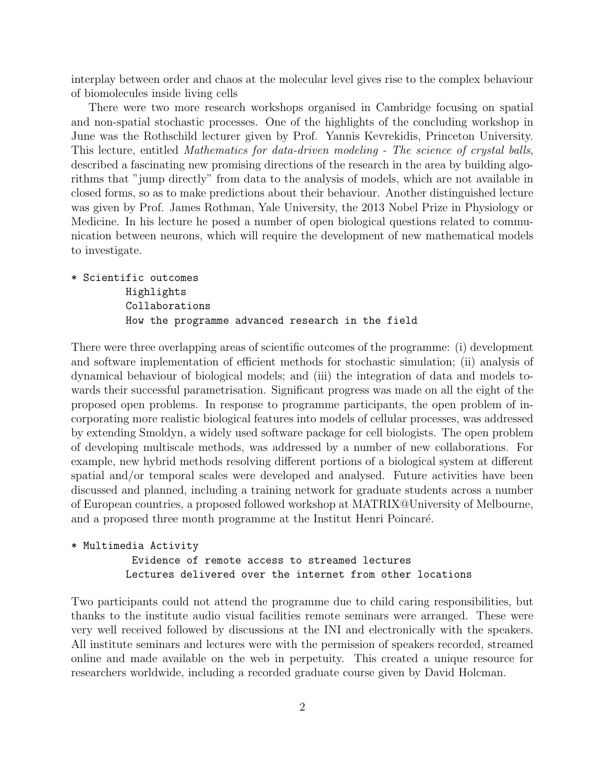interplay between order and chaos at the molecular level gives rise to the complex behaviour of biomolecules inside living cells

There were two more research workshops organised in Cambridge focusing on spatial and non-spatial stochastic processes. One of the highlights of the concluding workshop in June was the Rothschild lecturer given by Prof. Yannis Kevrekidis, Princeton University. This lecture, entitled Mathematics for data-driven modeling - The science of crystal balls, described a fascinating new promising directions of the research in the area by building algorithms that "jump directly" from data to the analysis of models, which are not available in closed forms, so as to make predictions about their behaviour. Another distinguished lecture was given by Prof. James Rothman, Yale University, the 2013 Nobel Prize in Physiology or Medicine. In his lecture he posed a number of open biological questions related to communication between neurons, which will require the development of new mathematical models to investigate.

\* Scientific outcomes Highlights Collaborations How the programme advanced research in the field

There were three overlapping areas of scientific outcomes of the programme: (i) development and software implementation of efficient methods for stochastic simulation; (ii) analysis of dynamical behaviour of biological models; and (iii) the integration of data and models towards their successful parametrisation. Significant progress was made on all the eight of the proposed open problems. In response to programme participants, the open problem of incorporating more realistic biological features into models of cellular processes, was addressed by extending Smoldyn, a widely used software package for cell biologists. The open problem of developing multiscale methods, was addressed by a number of new collaborations. For example, new hybrid methods resolving different portions of a biological system at different spatial and/or temporal scales were developed and analysed. Future activities have been discussed and planned, including a training network for graduate students across a number of European countries, a proposed followed workshop at MATRIX@University of Melbourne, and a proposed three month programme at the Institut Henri Poincaré.

```
* Multimedia Activity
Evidence of remote access to streamed lectures
```
Lectures delivered over the internet from other locations

Two participants could not attend the programme due to child caring responsibilities, but thanks to the institute audio visual facilities remote seminars were arranged. These were very well received followed by discussions at the INI and electronically with the speakers. All institute seminars and lectures were with the permission of speakers recorded, streamed online and made available on the web in perpetuity. This created a unique resource for researchers worldwide, including a recorded graduate course given by David Holcman.